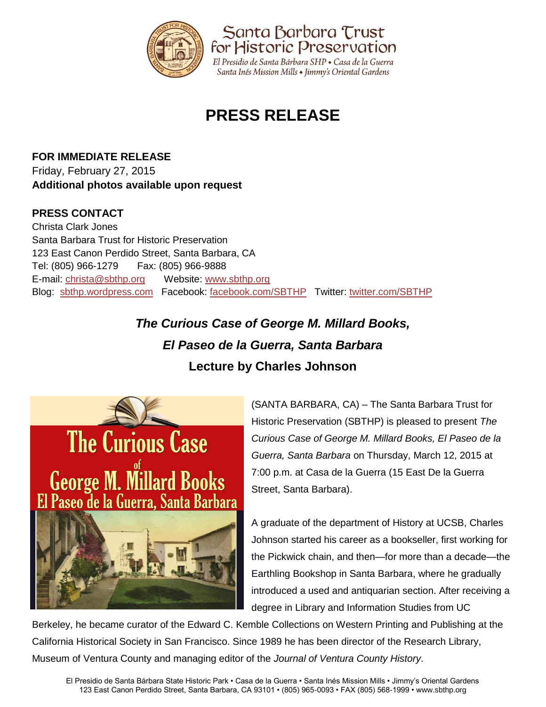

# **PRESS RELEASE**

**FOR IMMEDIATE RELEASE** Friday, February 27, 2015 **Additional photos available upon request**

### **PRESS CONTACT**

Christa Clark Jones Santa Barbara Trust for Historic Preservation 123 East Canon Perdido Street, Santa Barbara, CA Tel: (805) 966-1279 Fax: (805) 966-9888 E-mail: [christa@sbthp.org](mailto:christa@sbthp.org) Website: [www.sbthp.org](http://www.sbthp.org/) Blog: [sbthp.wordpress.com](http://sbthp.wordpress.com/) Facebook: [facebook.com/SBTHP](http://www.facebook.com/SBTHP) Twitter: [twitter.com/SBTHP](http://twitter.com/SBTHP)

## *The Curious Case of George M. Millard Books, El Paseo de la Guerra, Santa Barbara* **Lecture by Charles Johnson**



(SANTA BARBARA, CA) – The Santa Barbara Trust for Historic Preservation (SBTHP) is pleased to present *The Curious Case of George M. Millard Books, El Paseo de la Guerra, Santa Barbara* on Thursday, March 12, 2015 at 7:00 p.m. at Casa de la Guerra (15 East De la Guerra Street, Santa Barbara).

A graduate of the department of History at UCSB, Charles Johnson started his career as a bookseller, first working for the Pickwick chain, and then—for more than a decade—the Earthling Bookshop in Santa Barbara, where he gradually introduced a used and antiquarian section. After receiving a degree in Library and Information Studies from UC

Berkeley, he became curator of the Edward C. Kemble Collections on Western Printing and Publishing at the California Historical Society in San Francisco. Since 1989 he has been director of the Research Library, Museum of Ventura County and managing editor of the *Journal of Ventura County History*.